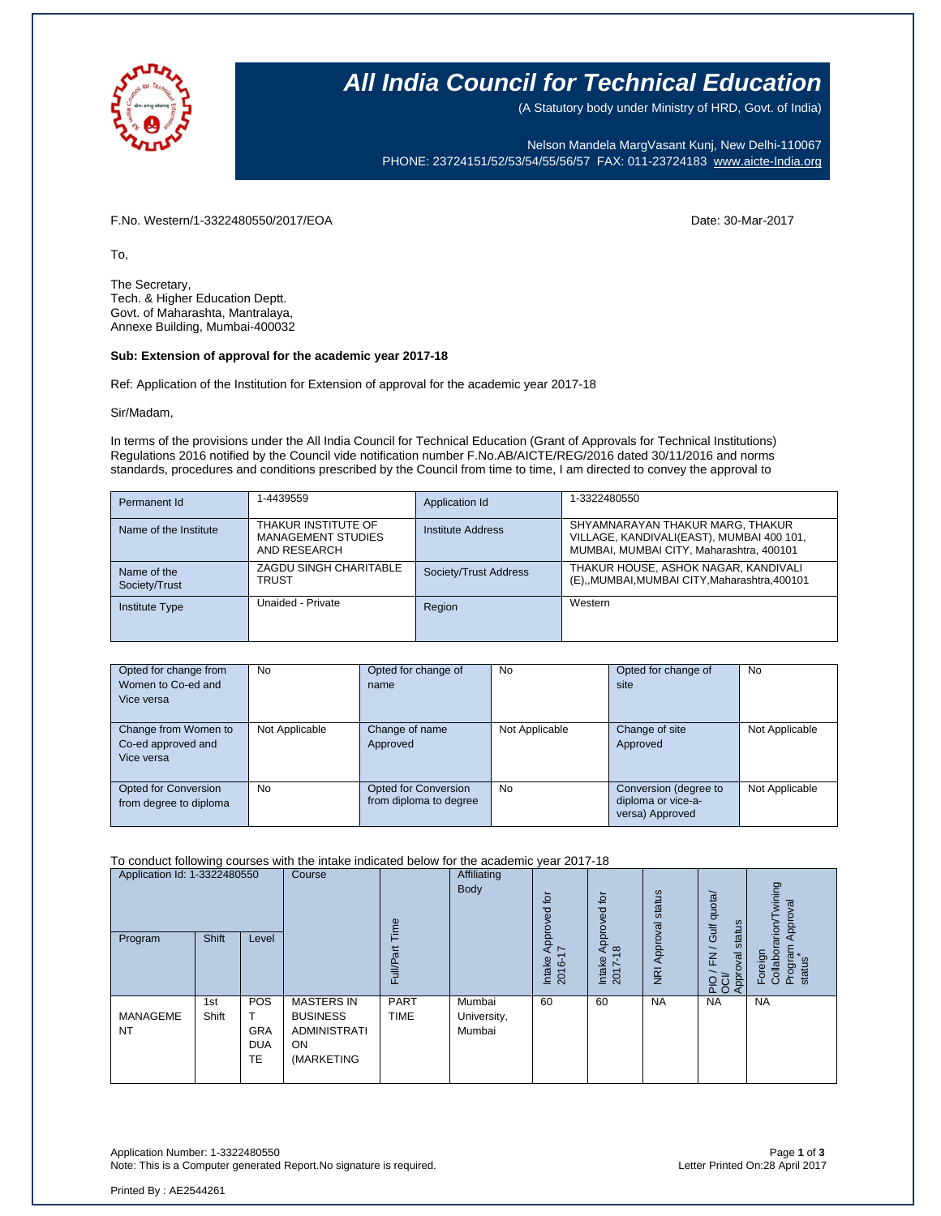

# **All India Council for Technical Education**

(A Statutory body under Ministry of HRD, Govt. of India)

Nelson Mandela MargVasant Kunj, New Delhi-110067 PHONE: 23724151/52/53/54/55/56/57 FAX: 011-23724183 [www.aicte-India.org](http://www.aicte-india.org/)

F.No. Western/1-3322480550/2017/EOA Date: 30-Mar-2017

To,

The Secretary, Tech. & Higher Education Deptt. Govt. of Maharashta, Mantralaya, Annexe Building, Mumbai-400032

#### **Sub: Extension of approval for the academic year 2017-18**

Ref: Application of the Institution for Extension of approval for the academic year 2017-18

Sir/Madam,

In terms of the provisions under the All India Council for Technical Education (Grant of Approvals for Technical Institutions) Regulations 2016 notified by the Council vide notification number F.No.AB/AICTE/REG/2016 dated 30/11/2016 and norms standards, procedures and conditions prescribed by the Council from time to time, I am directed to convey the approval to

| Permanent Id                 | 1-4439559                                                        | Application Id        | 1-3322480550                                                                                                              |
|------------------------------|------------------------------------------------------------------|-----------------------|---------------------------------------------------------------------------------------------------------------------------|
| Name of the Institute        | THAKUR INSTITUTE OF<br><b>MANAGEMENT STUDIES</b><br>AND RESEARCH | Institute Address     | SHYAMNARAYAN THAKUR MARG, THAKUR<br>VILLAGE, KANDIVALI(EAST), MUMBAI 400 101,<br>MUMBAI, MUMBAI CITY, Maharashtra, 400101 |
| Name of the<br>Society/Trust | ZAGDU SINGH CHARITABLE<br><b>TRUST</b>                           | Society/Trust Address | THAKUR HOUSE, ASHOK NAGAR, KANDIVALI<br>(E),,MUMBAI,MUMBAI CITY,Maharashtra,400101                                        |
| <b>Institute Type</b>        | Unaided - Private                                                | Region                | Western                                                                                                                   |

| Opted for change from<br>Women to Co-ed and<br>Vice versa | <b>No</b>      | Opted for change of<br>name                           | <b>No</b>      | Opted for change of<br>site                                    | <b>No</b>      |
|-----------------------------------------------------------|----------------|-------------------------------------------------------|----------------|----------------------------------------------------------------|----------------|
| Change from Women to<br>Co-ed approved and<br>Vice versa  | Not Applicable | Change of name<br>Approved                            | Not Applicable | Change of site<br>Approved                                     | Not Applicable |
| <b>Opted for Conversion</b><br>from degree to diploma     | No.            | <b>Opted for Conversion</b><br>from diploma to degree | <b>No</b>      | Conversion (degree to<br>diploma or vice-a-<br>versa) Approved | Not Applicable |

To conduct following courses with the intake indicated below for the academic year 2017-18

| Application Id: 1-3322480550<br>Program | <b>Shift</b> | Level                                        | Course                                                                                 | Time<br>ãτ<br>Full/P <sub>3</sub> | Affiliating<br>Body             | for<br>ರ<br>Appro <sup>,</sup><br>7<br>Intake<br>2016-' | $\overline{Q}$<br>ರ<br>୧<br>ppro<br>$\infty$<br>⋖<br>Intake<br>2017- | NRI Approval status | Gulf quota/<br>status<br>$\geq$<br>Approval<br>요.<br>또 | wining<br>Approval<br>Foreign<br>Collaborarion/Tv<br>Program<br>status |
|-----------------------------------------|--------------|----------------------------------------------|----------------------------------------------------------------------------------------|-----------------------------------|---------------------------------|---------------------------------------------------------|----------------------------------------------------------------------|---------------------|--------------------------------------------------------|------------------------------------------------------------------------|
| MANAGEME<br><b>NT</b>                   | 1st<br>Shift | POS<br><b>GRA</b><br><b>DUA</b><br><b>TE</b> | <b>MASTERS IN</b><br><b>BUSINESS</b><br><b>ADMINISTRATI</b><br><b>ON</b><br>(MARKETING | <b>PART</b><br><b>TIME</b>        | Mumbai<br>University,<br>Mumbai | 60                                                      | 60                                                                   | <b>NA</b>           | <b>NA</b>                                              | <b>NA</b>                                                              |

Application Number: 1-3322480550 Page **1** of **3** Note: This is a Computer generated Report.No signature is required.

Printed By : AE2544261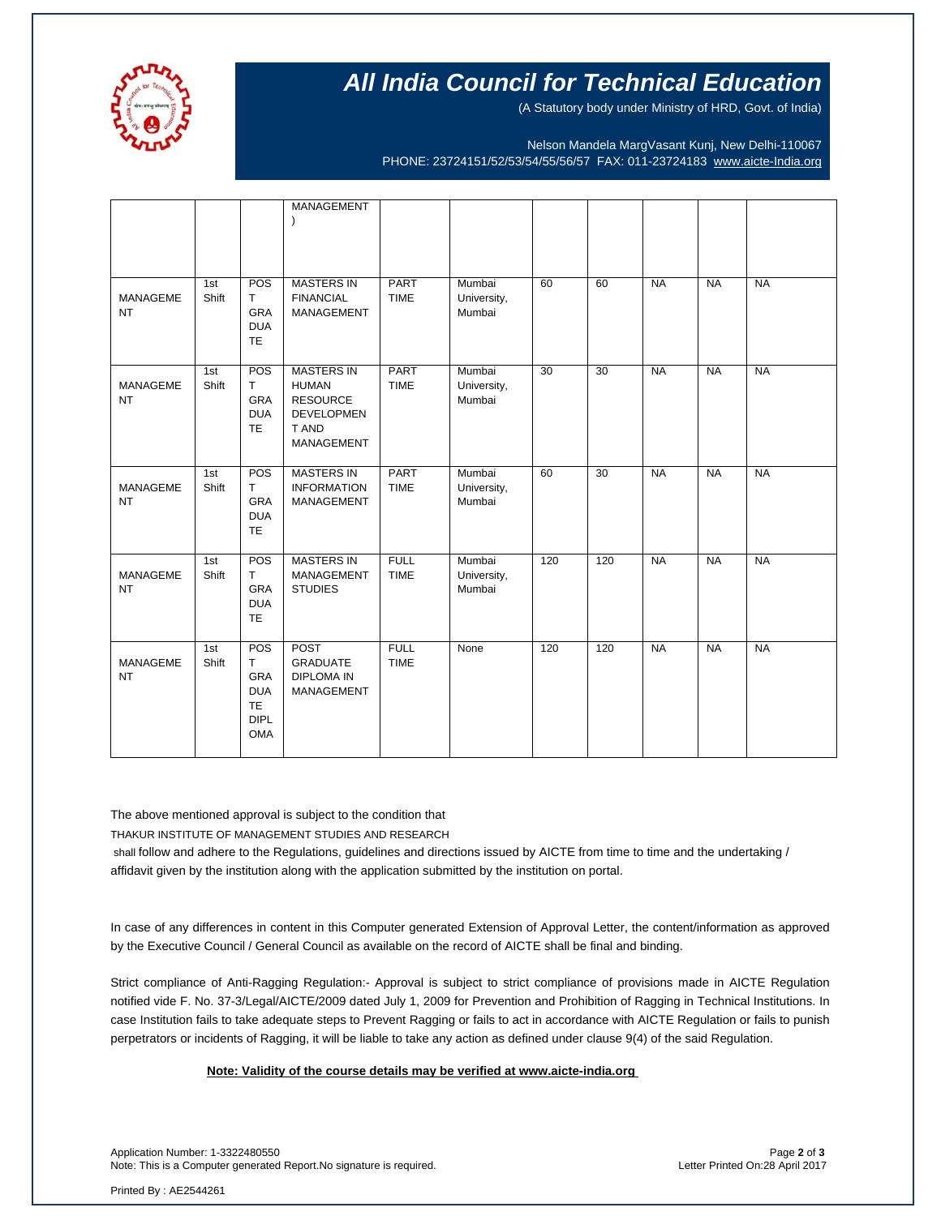

# **All India Council for Technical Education**

(A Statutory body under Ministry of HRD, Govt. of India)

Nelson Mandela MargVasant Kunj, New Delhi-110067 PHONE: 23724151/52/53/54/55/56/57 FAX: 011-23724183 [www.aicte-India.org](http://www.aicte-india.org/)

|                              |              |                            | MANAGEMENT                             |                            |                       |                 |                 |           |           |           |
|------------------------------|--------------|----------------------------|----------------------------------------|----------------------------|-----------------------|-----------------|-----------------|-----------|-----------|-----------|
|                              |              |                            |                                        |                            |                       |                 |                 |           |           |           |
|                              |              |                            |                                        |                            |                       |                 |                 |           |           |           |
|                              | 1st          | POS                        | <b>MASTERS IN</b>                      | <b>PART</b>                | Mumbai                | 60              | 60              | <b>NA</b> | <b>NA</b> | <b>NA</b> |
| MANAGEME                     | Shift        | T                          | <b>FINANCIAL</b>                       | <b>TIME</b>                | University,           |                 |                 |           |           |           |
| <b>NT</b>                    |              | <b>GRA</b><br><b>DUA</b>   | MANAGEMENT                             |                            | Mumbai                |                 |                 |           |           |           |
|                              |              | <b>TE</b>                  |                                        |                            |                       |                 |                 |           |           |           |
|                              | 1st          | POS                        | <b>MASTERS IN</b>                      | <b>PART</b>                | Mumbai                | $\overline{30}$ | $\overline{30}$ | <b>NA</b> | <b>NA</b> | <b>NA</b> |
| <b>MANAGEME</b>              | Shift        | T.                         | <b>HUMAN</b>                           | <b>TIME</b>                | University,           |                 |                 |           |           |           |
| <b>NT</b>                    |              | <b>GRA</b><br><b>DUA</b>   | <b>RESOURCE</b><br><b>DEVELOPMEN</b>   |                            | Mumbai                |                 |                 |           |           |           |
|                              |              | <b>TE</b>                  | T AND                                  |                            |                       |                 |                 |           |           |           |
|                              |              |                            | MANAGEMENT                             |                            |                       |                 |                 |           |           |           |
|                              | 1st          | POS                        | <b>MASTERS IN</b>                      | <b>PART</b>                | Mumbai                | 60              | $\overline{30}$ | <b>NA</b> | <b>NA</b> | <b>NA</b> |
| <b>MANAGEME</b><br><b>NT</b> | Shift        | $\mathsf{T}$<br><b>GRA</b> | <b>INFORMATION</b><br>MANAGEMENT       | <b>TIME</b>                | University,<br>Mumbai |                 |                 |           |           |           |
|                              |              | <b>DUA</b><br><b>TE</b>    |                                        |                            |                       |                 |                 |           |           |           |
|                              |              |                            |                                        |                            |                       |                 |                 |           |           |           |
| <b>MANAGEME</b>              | 1st<br>Shift | POS<br>T                   | <b>MASTERS IN</b><br><b>MANAGEMENT</b> | <b>FULL</b><br><b>TIME</b> | Mumbai                | 120             | 120             | <b>NA</b> | <b>NA</b> | <b>NA</b> |
| <b>NT</b>                    |              | <b>GRA</b>                 | <b>STUDIES</b>                         |                            | University,<br>Mumbai |                 |                 |           |           |           |
|                              |              | <b>DUA</b><br><b>TE</b>    |                                        |                            |                       |                 |                 |           |           |           |
|                              |              |                            |                                        |                            |                       |                 |                 |           |           |           |
| <b>MANAGEME</b>              | 1st<br>Shift | POS<br>T.                  | <b>POST</b><br><b>GRADUATE</b>         | <b>FULL</b><br><b>TIME</b> | None                  | 120             | 120             | <b>NA</b> | <b>NA</b> | <b>NA</b> |
| <b>NT</b>                    |              | <b>GRA</b>                 | <b>DIPLOMA IN</b>                      |                            |                       |                 |                 |           |           |           |
|                              |              | <b>DUA</b><br><b>TE</b>    | MANAGEMENT                             |                            |                       |                 |                 |           |           |           |
|                              |              | <b>DIPL</b>                |                                        |                            |                       |                 |                 |           |           |           |
|                              |              | <b>OMA</b>                 |                                        |                            |                       |                 |                 |           |           |           |
|                              |              |                            |                                        |                            |                       |                 |                 |           |           |           |

The above mentioned approval is subject to the condition that THAKUR INSTITUTE OF MANAGEMENT STUDIES AND RESEARCH

shall follow and adhere to the Regulations, guidelines and directions issued by AICTE from time to time and the undertaking / affidavit given by the institution along with the application submitted by the institution on portal.

In case of any differences in content in this Computer generated Extension of Approval Letter, the content/information as approved by the Executive Council / General Council as available on the record of AICTE shall be final and binding.

Strict compliance of Anti-Ragging Regulation:- Approval is subject to strict compliance of provisions made in AICTE Regulation notified vide F. No. 37-3/Legal/AICTE/2009 dated July 1, 2009 for Prevention and Prohibition of Ragging in Technical Institutions. In case Institution fails to take adequate steps to Prevent Ragging or fails to act in accordance with AICTE Regulation or fails to punish perpetrators or incidents of Ragging, it will be liable to take any action as defined under clause 9(4) of the said Regulation.

### **Note: Validity of the course details may be verified at www.aicte-india.org**

Application Number: 1-3322480550 Page **2** of **3** Note: This is a Computer generated Report.No signature is required.